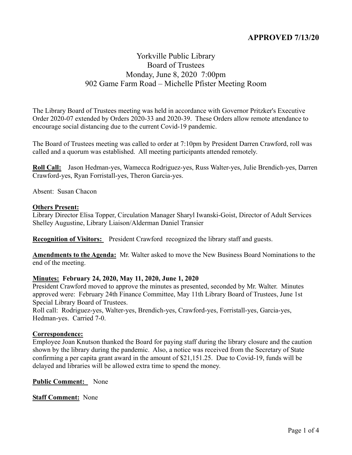# **APPROVED 7/13/20**

# Yorkville Public Library Board of Trustees Monday, June 8, 2020 7:00pm 902 Game Farm Road – Michelle Pfister Meeting Room

The Library Board of Trustees meeting was held in accordance with Governor Pritzker's Executive Order 2020-07 extended by Orders 2020-33 and 2020-39. These Orders allow remote attendance to encourage social distancing due to the current Covid-19 pandemic.

The Board of Trustees meeting was called to order at 7:10pm by President Darren Crawford, roll was called and a quorum was established. All meeting participants attended remotely.

**Roll Call:** Jason Hedman-yes, Wamecca Rodriguez-yes, Russ Walter-yes, Julie Brendich-yes, Darren Crawford-yes, Ryan Forristall-yes, Theron Garcia-yes.

Absent: Susan Chacon

#### **Others Present:**

Library Director Elisa Topper, Circulation Manager Sharyl Iwanski-Goist, Director of Adult Services Shelley Augustine, Library Liaison/Alderman Daniel Transier

**Recognition of Visitors:** President Crawford recognized the library staff and guests.

**Amendments to the Agenda:** Mr. Walter asked to move the New Business Board Nominations to the end of the meeting.

#### **Minutes: February 24, 2020, May 11, 2020, June 1, 2020**

President Crawford moved to approve the minutes as presented, seconded by Mr. Walter. Minutes approved were: February 24th Finance Committee, May 11th Library Board of Trustees, June 1st Special Library Board of Trustees.

Roll call: Rodriguez-yes, Walter-yes, Brendich-yes, Crawford-yes, Forristall-yes, Garcia-yes, Hedman-yes. Carried 7-0.

#### **Correspondence:**

Employee Joan Knutson thanked the Board for paying staff during the library closure and the caution shown by the library during the pandemic. Also, a notice was received from the Secretary of State confirming a per capita grant award in the amount of \$21,151.25. Due to Covid-19, funds will be delayed and libraries will be allowed extra time to spend the money.

**Public Comment:** None

**Staff Comment:** None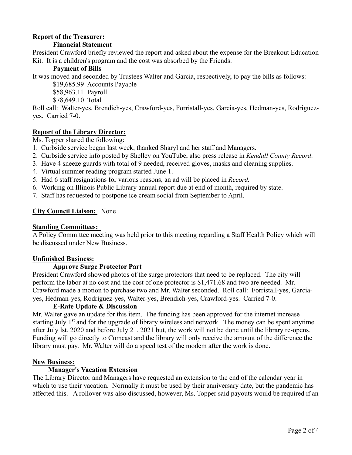## **Report of the Treasurer:**

### **Financial Statement**

President Crawford briefly reviewed the report and asked about the expense for the Breakout Education Kit. It is a children's program and the cost was absorbed by the Friends.

#### **Payment of Bills**

It was moved and seconded by Trustees Walter and Garcia, respectively, to pay the bills as follows:

\$19,685.99 Accounts Payable

\$58,963.11 Payroll

\$78,649.10 Total

Roll call: Walter-yes, Brendich-yes, Crawford-yes, Forristall-yes, Garcia-yes, Hedman-yes, Rodriguezyes. Carried 7-0.

### **Report of the Library Director:**

Ms. Topper shared the following:

- 1. Curbside service began last week, thanked Sharyl and her staff and Managers.
- 2. Curbside service info posted by Shelley on YouTube, also press release in *Kendall County Record*.
- 3. Have 4 sneeze guards with total of 9 needed, received gloves, masks and cleaning supplies.
- 4. Virtual summer reading program started June 1.
- 5. Had 6 staff resignations for various reasons, an ad will be placed in *Record.*
- 6. Working on Illinois Public Library annual report due at end of month, required by state.
- 7. Staff has requested to postpone ice cream social from September to April.

### **City Council Liaison:** None

#### **Standing Committees:**

A Policy Committee meeting was held prior to this meeting regarding a Staff Health Policy which will be discussed under New Business.

#### **Unfinished Business:**

## **Approve Surge Protector Part**

President Crawford showed photos of the surge protectors that need to be replaced. The city will perform the labor at no cost and the cost of one protector is \$1,471.68 and two are needed. Mr. Crawford made a motion to purchase two and Mr. Walter seconded. Roll call: Forristall-yes, Garciayes, Hedman-yes, Rodriguez-yes, Walter-yes, Brendich-yes, Crawford-yes. Carried 7-0.

## **E-Rate Update & Discussion**

Mr. Walter gave an update for this item. The funding has been approved for the internet increase starting July 1<sup>st</sup> and for the upgrade of library wireless and network. The money can be spent anytime after July lst, 2020 and before July 21, 2021 but, the work will not be done until the library re-opens. Funding will go directly to Comcast and the library will only receive the amount of the difference the library must pay. Mr. Walter will do a speed test of the modem after the work is done.

#### **New Business:**

## **Manager's Vacation Extension**

The Library Director and Managers have requested an extension to the end of the calendar year in which to use their vacation. Normally it must be used by their anniversary date, but the pandemic has affected this. A rollover was also discussed, however, Ms. Topper said payouts would be required if an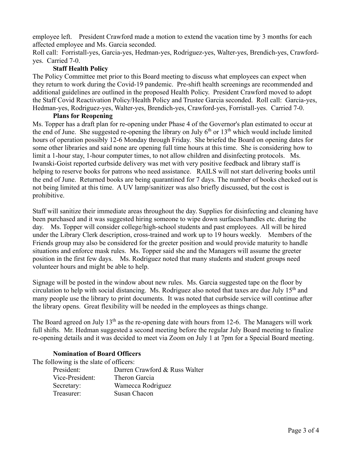employee left. President Crawford made a motion to extend the vacation time by 3 months for each affected employee and Ms. Garcia seconded.

Roll call: Forristall-yes, Garcia-yes, Hedman-yes, Rodriguez-yes, Walter-yes, Brendich-yes, Crawfordyes. Carried 7-0.

## **Staff Health Policy**

The Policy Committee met prior to this Board meeting to discuss what employees can expect when they return to work during the Covid-19 pandemic. Pre-shift health screenings are recommended and additional guidelines are outlined in the proposed Health Policy. President Crawford moved to adopt the Staff Covid Reactivation Policy/Health Policy and Trustee Garcia seconded. Roll call: Garcia-yes, Hedman-yes, Rodriguez-yes, Walter-yes, Brendich-yes, Crawford-yes, Forristall-yes. Carried 7-0.

### **Plans for Reopening**

Ms. Topper has a draft plan for re-opening under Phase 4 of the Governor's plan estimated to occur at the end of June. She suggested re-opening the library on July  $6<sup>th</sup>$  or  $13<sup>th</sup>$  which would include limited hours of operation possibly 12-6 Monday through Friday. She briefed the Board on opening dates for some other libraries and said none are opening full time hours at this time. She is considering how to limit a 1-hour stay, 1-hour computer times, to not allow children and disinfecting protocols. Ms. Iwanski-Goist reported curbside delivery was met with very positive feedback and library staff is helping to reserve books for patrons who need assistance. RAILS will not start delivering books until the end of June. Returned books are being quarantined for 7 days. The number of books checked out is not being limited at this time. A UV lamp/sanitizer was also briefly discussed, but the cost is prohibitive.

Staff will sanitize their immediate areas throughout the day. Supplies for disinfecting and cleaning have been purchased and it was suggested hiring someone to wipe down surfaces/handles etc. during the day. Ms. Topper will consider college/high-school students and past employees. All will be hired under the Library Clerk description, cross-trained and work up to 19 hours weekly. Members of the Friends group may also be considered for the greeter position and would provide maturity to handle situations and enforce mask rules. Ms. Topper said she and the Managers will assume the greeter position in the first few days. Ms. Rodriguez noted that many students and student groups need volunteer hours and might be able to help.

Signage will be posted in the window about new rules. Ms. Garcia suggested tape on the floor by circulation to help with social distancing. Ms. Rodriguez also noted that taxes are due July 15th and many people use the library to print documents. It was noted that curbside service will continue after the library opens. Great flexibility will be needed in the employees as things change.

The Board agreed on July  $13<sup>th</sup>$  as the re-opening date with hours from 12-6. The Managers will work full shifts. Mr. Hedman suggested a second meeting before the regular July Board meeting to finalize re-opening details and it was decided to meet via Zoom on July 1 at 7pm for a Special Board meeting.

## **Nomination of Board Officers**

The following is the slate of officers:

| President:      | Darren Crawford & Russ Walter |
|-----------------|-------------------------------|
| Vice-President: | Theron Garcia                 |
| Secretary:      | Wamecca Rodriguez             |
| Treasurer:      | Susan Chacon                  |